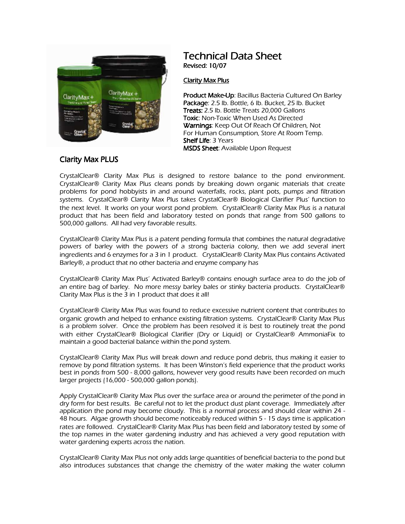

## *Technical Data Sheet Revised: 10/07*

## *Clarity Max Plus*

**Product Make-Up: Bacillus Bacteria Cultured On Barley Package: 2.5 lb. Bottle, 6 lb. Bucket, 25 lb. Bucket Treats: 2.5 lb. Bottle Treats 20,000 Gallons Toxic: Non-Toxic When Used As Directed** *Warnings: Keep Out Of Reach Of Children, Not For Human Consumption, Store At Room Temp.*  **Shelf Life: 3 Years MSDS Sheet:** Available Upon Request

## *Clarity Max PLUS*

*CrystalClear Clarity Max Plus is designed to restore balance to the pond environment. CrystalClear Clarity Max Plus cleans ponds by breaking down organic materials that create problems for pond hobbyists in and around waterfalls, rocks, plant pots, pumps and filtration systems. CrystalClear Clarity Max Plus takes CrystalClear Biological Clarifier Plus' function to the next level. It works on your worst pond problem. CrystalClear Clarity Max Plus is a natural product that has been field and laboratory tested on ponds that range from 500 gallons to 500,000 gallons. All had very favorable results.* 

*CrystalClear Clarity Max Plus is a patent pending formula that combines the natural degradative powers of barley with the powers of a strong bacteria colony, then we add several inert*  ingredients and 6 enzymes for a 3 in 1 product. CrystalClear<sup>®</sup> Clarity Max Plus contains Activated *Barley, a product that no other bacteria and enzyme company has* 

*CrystalClear Clarity Max Plus' Activated Barley contains enough surface area to do the job of an entire bag of barley. No more messy barley bales or stinky bacteria products. CrystalClear Clarity Max Plus is the 3 in 1 product that does it all!* 

*CrystalClear Clarity Max Plus was found to reduce excessive nutrient content that contributes to organic growth and helped to enhance existing filtration systems. CrystalClear Clarity Max Plus*  is a problem solver. Once the problem has been resolved it is best to routinely treat the pond *with either CrystalClear<sup>®</sup> Biological Clarifier (Dry or Liquid) or CrystalClear<sup>®</sup> AmmoniaFix to maintain a good bacterial balance within the pond system.* 

*CrystalClear Clarity Max Plus will break down and reduce pond debris, thus making it easier to remove by pond filtration systems. It has been Winston's field experience that the product works best in ponds from 500 - 8,000 gallons, however very good results have been recorded on much larger projects (16,000 - 500,000 gallon ponds).* 

*Apply CrystalClear Clarity Max Plus over the surface area or around the perimeter of the pond in dry form for best results. Be careful not to let the product dust plant coverage. Immediately after application the pond may become cloudy. This is a normal process and should clear within 24 - 48 hours. Algae growth should become noticeably reduced within 5 - 15 days time is application*  rates are followed. CrystalClear<sup>®</sup> Clarity Max Plus has been field and laboratory tested by some of *the top names in the water gardening industry and has achieved a very good reputation with water gardening experts across the nation.* 

*CrystalClear Clarity Max Plus not only adds large quantities of beneficial bacteria to the pond but also introduces substances that change the chemistry of the water making the water column*